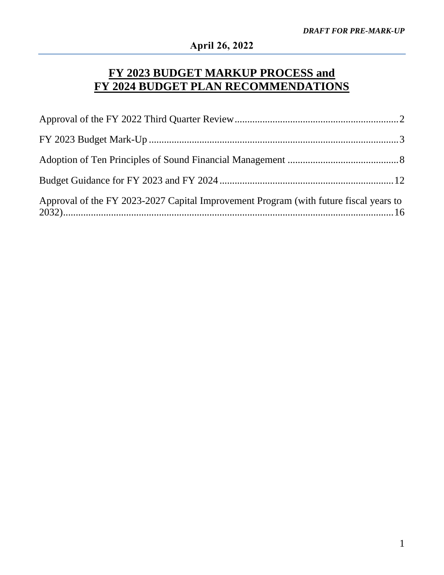# **FY 2023 BUDGET MARKUP PROCESS and FY 2024 BUDGET PLAN RECOMMENDATIONS**

| Approval of the FY 2023-2027 Capital Improvement Program (with future fiscal years to |  |
|---------------------------------------------------------------------------------------|--|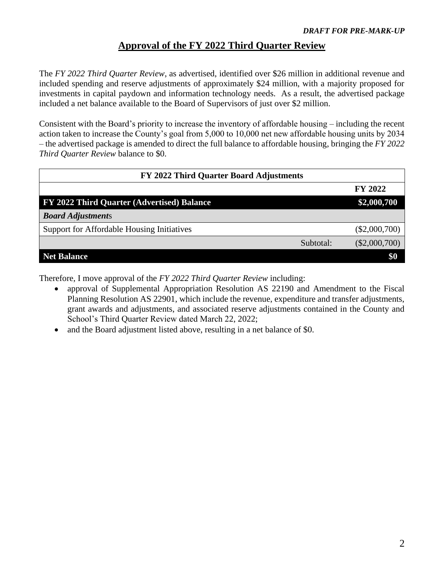### **Approval of the FY 2022 Third Quarter Review**

<span id="page-1-0"></span>The *FY 2022 Third Quarter Review*, as advertised, identified over \$26 million in additional revenue and included spending and reserve adjustments of approximately \$24 million, with a majority proposed for investments in capital paydown and information technology needs. As a result, the advertised package included a net balance available to the Board of Supervisors of just over \$2 million.

Consistent with the Board's priority to increase the inventory of affordable housing – including the recent action taken to increase the County's goal from 5,000 to 10,000 net new affordable housing units by 2034 – the advertised package is amended to direct the full balance to affordable housing, bringing the *FY 2022 Third Quarter Review* balance to \$0.

| FY 2022 Third Quarter Board Adjustments    |           |                 |  |
|--------------------------------------------|-----------|-----------------|--|
|                                            |           | FY 2022         |  |
| FY 2022 Third Quarter (Advertised) Balance |           | \$2,000,700     |  |
| <b>Board Adjustments</b>                   |           |                 |  |
| Support for Affordable Housing Initiatives |           | $(\$2,000,700)$ |  |
|                                            | Subtotal: | $(\$2,000,700)$ |  |
| <b>Net Balance</b>                         |           | \$0             |  |

Therefore, I move approval of the *FY 2022 Third Quarter Review* including:

- approval of Supplemental Appropriation Resolution AS 22190 and Amendment to the Fiscal Planning Resolution AS 22901, which include the revenue, expenditure and transfer adjustments, grant awards and adjustments, and associated reserve adjustments contained in the County and School's Third Quarter Review dated March 22, 2022;
- and the Board adjustment listed above, resulting in a net balance of \$0.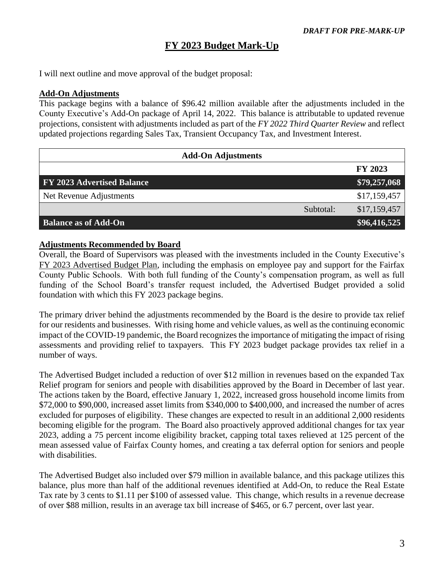# **FY 2023 Budget Mark-Up**

<span id="page-2-0"></span>I will next outline and move approval of the budget proposal:

### **Add-On Adjustments**

This package begins with a balance of \$96.42 million available after the adjustments included in the County Executive's Add-On package of April 14, 2022. This balance is attributable to updated revenue projections, consistent with adjustments included as part of the *FY 2022 Third Quarter Review* and reflect updated projections regarding Sales Tax, Transient Occupancy Tax, and Investment Interest.

| <b>Add-On Adjustments</b>         |           |              |
|-----------------------------------|-----------|--------------|
|                                   |           | FY 2023      |
| <b>FY 2023 Advertised Balance</b> |           | \$79,257,068 |
| Net Revenue Adjustments           |           | \$17,159,457 |
|                                   | Subtotal: | \$17,159,457 |
| <b>Balance as of Add-On</b>       |           | \$96,416,525 |

### **Adjustments Recommended by Board**

Overall, the Board of Supervisors was pleased with the investments included in the County Executive's FY 2023 Advertised Budget Plan, including the emphasis on employee pay and support for the Fairfax County Public Schools. With both full funding of the County's compensation program, as well as full funding of the School Board's transfer request included, the Advertised Budget provided a solid foundation with which this FY 2023 package begins.

The primary driver behind the adjustments recommended by the Board is the desire to provide tax relief for our residents and businesses. With rising home and vehicle values, as well as the continuing economic impact of the COVID-19 pandemic, the Board recognizes the importance of mitigating the impact of rising assessments and providing relief to taxpayers. This FY 2023 budget package provides tax relief in a number of ways.

The Advertised Budget included a reduction of over \$12 million in revenues based on the expanded Tax Relief program for seniors and people with disabilities approved by the Board in December of last year. The actions taken by the Board, effective January 1, 2022, increased gross household income limits from \$72,000 to \$90,000, increased asset limits from \$340,000 to \$400,000, and increased the number of acres excluded for purposes of eligibility. These changes are expected to result in an additional 2,000 residents becoming eligible for the program. The Board also proactively approved additional changes for tax year 2023, adding a 75 percent income eligibility bracket, capping total taxes relieved at 125 percent of the mean assessed value of Fairfax County homes, and creating a tax deferral option for seniors and people with disabilities.

The Advertised Budget also included over \$79 million in available balance, and this package utilizes this balance, plus more than half of the additional revenues identified at Add-On, to reduce the Real Estate Tax rate by 3 cents to \$1.11 per \$100 of assessed value. This change, which results in a revenue decrease of over \$88 million, results in an average tax bill increase of \$465, or 6.7 percent, over last year.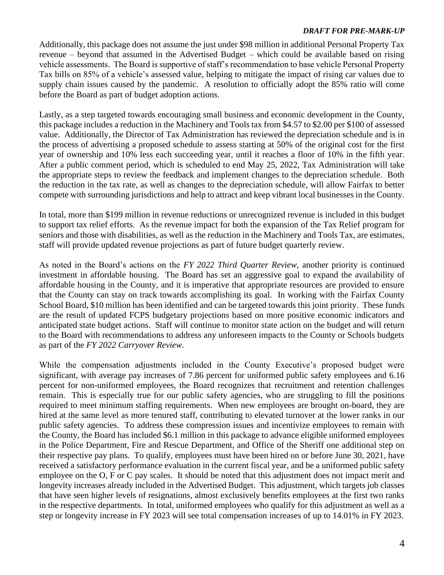Additionally, this package does not assume the just under \$98 million in additional Personal Property Tax revenue – beyond that assumed in the Advertised Budget – which could be available based on rising vehicle assessments. The Board is supportive of staff's recommendation to base vehicle Personal Property Tax bills on 85% of a vehicle's assessed value, helping to mitigate the impact of rising car values due to supply chain issues caused by the pandemic. A resolution to officially adopt the 85% ratio will come before the Board as part of budget adoption actions.

Lastly, as a step targeted towards encouraging small business and economic development in the County, this package includes a reduction in the Machinery and Tools tax from \$4.57 to \$2.00 per \$100 of assessed value. Additionally, the Director of Tax Administration has reviewed the depreciation schedule and is in the process of advertising a proposed schedule to assess starting at 50% of the original cost for the first year of ownership and 10% less each succeeding year, until it reaches a floor of 10% in the fifth year. After a public comment period, which is scheduled to end May 25, 2022, Tax Administration will take the appropriate steps to review the feedback and implement changes to the depreciation schedule. Both the reduction in the tax rate, as well as changes to the depreciation schedule, will allow Fairfax to better compete with surrounding jurisdictions and help to attract and keep vibrant local businesses in the County.

In total, more than \$199 million in revenue reductions or unrecognized revenue is included in this budget to support tax relief efforts. As the revenue impact for both the expansion of the Tax Relief program for seniors and those with disabilities, as well as the reduction in the Machinery and Tools Tax, are estimates, staff will provide updated revenue projections as part of future budget quarterly review.

As noted in the Board's actions on the *FY 2022 Third Quarter Review*, another priority is continued investment in affordable housing. The Board has set an aggressive goal to expand the availability of affordable housing in the County, and it is imperative that appropriate resources are provided to ensure that the County can stay on track towards accomplishing its goal. In working with the Fairfax County School Board, \$10 million has been identified and can be targeted towards this joint priority. These funds are the result of updated FCPS budgetary projections based on more positive economic indicators and anticipated state budget actions. Staff will continue to monitor state action on the budget and will return to the Board with recommendations to address any unforeseen impacts to the County or Schools budgets as part of the *FY 2022 Carryover Review*.

While the compensation adjustments included in the County Executive's proposed budget were significant, with average pay increases of 7.86 percent for uniformed public safety employees and 6.16 percent for non-uniformed employees, the Board recognizes that recruitment and retention challenges remain. This is especially true for our public safety agencies, who are struggling to fill the positions required to meet minimum staffing requirements. When new employees are brought on-board, they are hired at the same level as more tenured staff, contributing to elevated turnover at the lower ranks in our public safety agencies. To address these compression issues and incentivize employees to remain with the County, the Board has included \$6.1 million in this package to advance eligible uniformed employees in the Police Department, Fire and Rescue Department, and Office of the Sheriff one additional step on their respective pay plans. To qualify, employees must have been hired on or before June 30, 2021, have received a satisfactory performance evaluation in the current fiscal year, and be a uniformed public safety employee on the O, F or C pay scales. It should be noted that this adjustment does not impact merit and longevity increases already included in the Advertised Budget. This adjustment, which targets job classes that have seen higher levels of resignations, almost exclusively benefits employees at the first two ranks in the respective departments. In total, uniformed employees who qualify for this adjustment as well as a step or longevity increase in FY 2023 will see total compensation increases of up to 14.01% in FY 2023.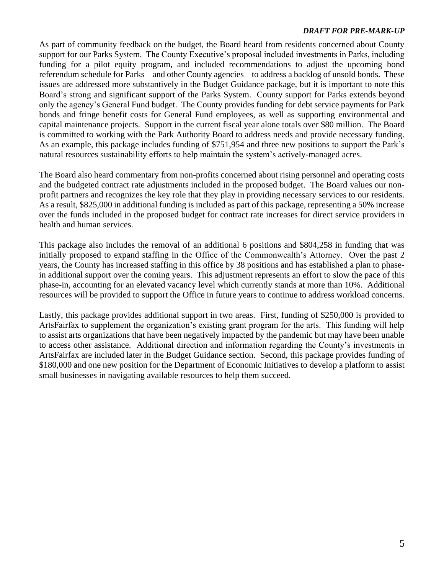As part of community feedback on the budget, the Board heard from residents concerned about County support for our Parks System. The County Executive's proposal included investments in Parks, including funding for a pilot equity program, and included recommendations to adjust the upcoming bond referendum schedule for Parks – and other County agencies – to address a backlog of unsold bonds. These issues are addressed more substantively in the Budget Guidance package, but it is important to note this Board's strong and significant support of the Parks System. County support for Parks extends beyond only the agency's General Fund budget. The County provides funding for debt service payments for Park bonds and fringe benefit costs for General Fund employees, as well as supporting environmental and capital maintenance projects. Support in the current fiscal year alone totals over \$80 million. The Board is committed to working with the Park Authority Board to address needs and provide necessary funding. As an example, this package includes funding of \$751,954 and three new positions to support the Park's natural resources sustainability efforts to help maintain the system's actively-managed acres.

The Board also heard commentary from non-profits concerned about rising personnel and operating costs and the budgeted contract rate adjustments included in the proposed budget. The Board values our nonprofit partners and recognizes the key role that they play in providing necessary services to our residents. As a result, \$825,000 in additional funding is included as part of this package, representing a 50% increase over the funds included in the proposed budget for contract rate increases for direct service providers in health and human services.

This package also includes the removal of an additional 6 positions and \$804,258 in funding that was initially proposed to expand staffing in the Office of the Commonwealth's Attorney. Over the past 2 years, the County has increased staffing in this office by 38 positions and has established a plan to phasein additional support over the coming years. This adjustment represents an effort to slow the pace of this phase-in, accounting for an elevated vacancy level which currently stands at more than 10%. Additional resources will be provided to support the Office in future years to continue to address workload concerns.

Lastly, this package provides additional support in two areas. First, funding of \$250,000 is provided to ArtsFairfax to supplement the organization's existing grant program for the arts. This funding will help to assist arts organizations that have been negatively impacted by the pandemic but may have been unable to access other assistance. Additional direction and information regarding the County's investments in ArtsFairfax are included later in the Budget Guidance section. Second, this package provides funding of \$180,000 and one new position for the Department of Economic Initiatives to develop a platform to assist small businesses in navigating available resources to help them succeed.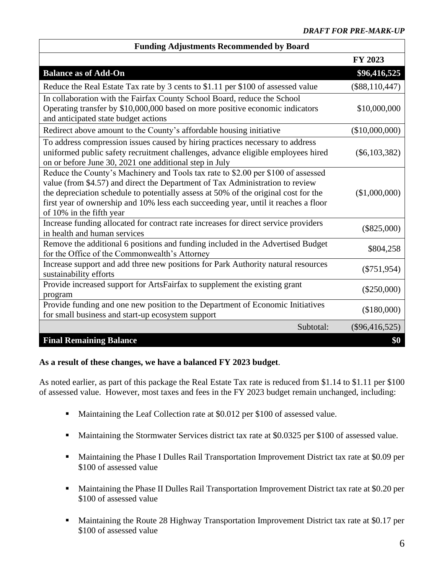| <b>Funding Adjustments Recommended by Board</b>                                                                                                                                                                                                                                                                                                                             |                  |
|-----------------------------------------------------------------------------------------------------------------------------------------------------------------------------------------------------------------------------------------------------------------------------------------------------------------------------------------------------------------------------|------------------|
|                                                                                                                                                                                                                                                                                                                                                                             | FY 2023          |
| <b>Balance as of Add-On</b>                                                                                                                                                                                                                                                                                                                                                 | \$96,416,525     |
| Reduce the Real Estate Tax rate by 3 cents to \$1.11 per \$100 of assessed value                                                                                                                                                                                                                                                                                            | $(\$88,110,447)$ |
| In collaboration with the Fairfax County School Board, reduce the School<br>Operating transfer by \$10,000,000 based on more positive economic indicators<br>and anticipated state budget actions                                                                                                                                                                           | \$10,000,000     |
| Redirect above amount to the County's affordable housing initiative                                                                                                                                                                                                                                                                                                         | (\$10,000,000)   |
| To address compression issues caused by hiring practices necessary to address<br>uniformed public safety recruitment challenges, advance eligible employees hired<br>on or before June 30, 2021 one additional step in July                                                                                                                                                 | $(\$6,103,382)$  |
| Reduce the County's Machinery and Tools tax rate to \$2.00 per \$100 of assessed<br>value (from \$4.57) and direct the Department of Tax Administration to review<br>the depreciation schedule to potentially assess at 50% of the original cost for the<br>first year of ownership and 10% less each succeeding year, until it reaches a floor<br>of 10% in the fifth year | (\$1,000,000)    |
| Increase funding allocated for contract rate increases for direct service providers<br>in health and human services                                                                                                                                                                                                                                                         | $(\$825,000)$    |
| Remove the additional 6 positions and funding included in the Advertised Budget<br>for the Office of the Commonwealth's Attorney                                                                                                                                                                                                                                            | \$804,258        |
| Increase support and add three new positions for Park Authority natural resources<br>sustainability efforts                                                                                                                                                                                                                                                                 | $(\$751,954)$    |
| Provide increased support for ArtsFairfax to supplement the existing grant<br>program                                                                                                                                                                                                                                                                                       | $(\$250,000)$    |
| Provide funding and one new position to the Department of Economic Initiatives<br>for small business and start-up ecosystem support                                                                                                                                                                                                                                         | (\$180,000)      |
| Subtotal:                                                                                                                                                                                                                                                                                                                                                                   | $(\$96,416,525)$ |
| <b>Final Remaining Balance</b>                                                                                                                                                                                                                                                                                                                                              | \$0              |

### **Funding Adjustments Recommended by Board**

### **As a result of these changes, we have a balanced FY 2023 budget**.

As noted earlier, as part of this package the Real Estate Tax rate is reduced from \$1.14 to \$1.11 per \$100 of assessed value. However, most taxes and fees in the FY 2023 budget remain unchanged, including:

- Maintaining the Leaf Collection rate at \$0.012 per \$100 of assessed value.
- Maintaining the Stormwater Services district tax rate at \$0.0325 per \$100 of assessed value.
- Maintaining the Phase I Dulles Rail Transportation Improvement District tax rate at \$0.09 per \$100 of assessed value
- Maintaining the Phase II Dulles Rail Transportation Improvement District tax rate at \$0.20 per \$100 of assessed value
- Maintaining the Route 28 Highway Transportation Improvement District tax rate at \$0.17 per \$100 of assessed value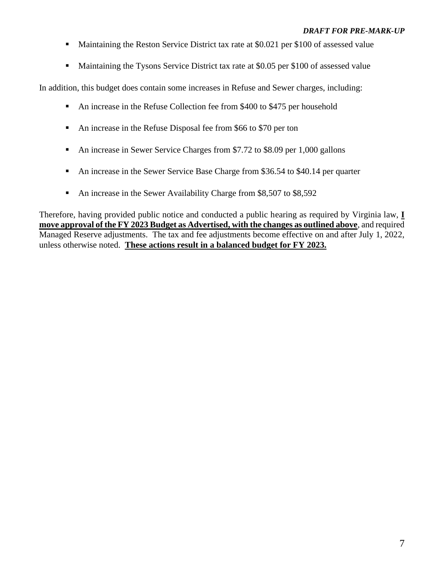- Maintaining the Reston Service District tax rate at \$0.021 per \$100 of assessed value
- Maintaining the Tysons Service District tax rate at \$0.05 per \$100 of assessed value

In addition, this budget does contain some increases in Refuse and Sewer charges, including:

- An increase in the Refuse Collection fee from \$400 to \$475 per household
- An increase in the Refuse Disposal fee from \$66 to \$70 per ton
- An increase in Sewer Service Charges from \$7.72 to \$8.09 per 1,000 gallons
- An increase in the Sewer Service Base Charge from \$36.54 to \$40.14 per quarter
- An increase in the Sewer Availability Charge from \$8,507 to \$8,592

Therefore, having provided public notice and conducted a public hearing as required by Virginia law, **I move approval of the FY 2023 Budget as Advertised, with the changes as outlined above**, and required Managed Reserve adjustments. The tax and fee adjustments become effective on and after July 1, 2022, unless otherwise noted. **These actions result in a balanced budget for FY 2023.**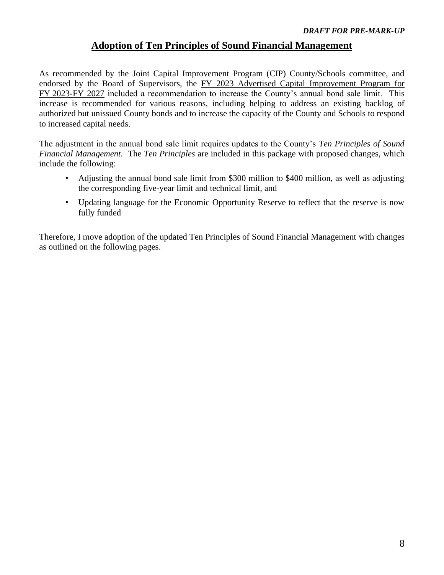### **Adoption of Ten Principles of Sound Financial Management**

<span id="page-7-0"></span>As recommended by the Joint Capital Improvement Program (CIP) County/Schools committee, and endorsed by the Board of Supervisors, the FY 2023 Advertised Capital Improvement Program for FY 2023-FY 2027 included a recommendation to increase the County's annual bond sale limit. This increase is recommended for various reasons, including helping to address an existing backlog of authorized but unissued County bonds and to increase the capacity of the County and Schools to respond to increased capital needs.

The adjustment in the annual bond sale limit requires updates to the County's *Ten Principles of Sound Financial Management*. The *Ten Principles* are included in this package with proposed changes, which include the following:

- Adjusting the annual bond sale limit from \$300 million to \$400 million, as well as adjusting the corresponding five-year limit and technical limit, and
- Updating language for the Economic Opportunity Reserve to reflect that the reserve is now fully funded

Therefore, I move adoption of the updated Ten Principles of Sound Financial Management with changes as outlined on the following pages.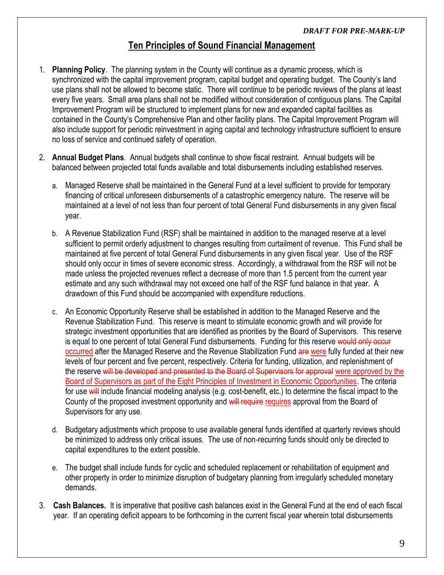### **Ten Principles of Sound Financial Management**

- 1. **Planning Policy**. The planning system in the County will continue as a dynamic process, which is synchronized with the capital improvement program, capital budget and operating budget. The County's land use plans shall not be allowed to become static. There will continue to be periodic reviews of the plans at least every five years. Small area plans shall not be modified without consideration of contiguous plans. The Capital Improvement Program will be structured to implement plans for new and expanded capital facilities as contained in the County's Comprehensive Plan and other facility plans. The Capital Improvement Program will also include support for periodic reinvestment in aging capital and technology infrastructure sufficient to ensure no loss of service and continued safety of operation.
- 2. **Annual Budget Plans**. Annual budgets shall continue to show fiscal restraint. Annual budgets will be balanced between projected total funds available and total disbursements including established reserves.
	- a. Managed Reserve shall be maintained in the General Fund at a level sufficient to provide for temporary financing of critical unforeseen disbursements of a catastrophic emergency nature. The reserve will be maintained at a level of not less than four percent of total General Fund disbursements in any given fiscal year.
	- b. A Revenue Stabilization Fund (RSF) shall be maintained in addition to the managed reserve at a level sufficient to permit orderly adjustment to changes resulting from curtailment of revenue. This Fund shall be maintained at five percent of total General Fund disbursements in any given fiscal year. Use of the RSF should only occur in times of severe economic stress. Accordingly, a withdrawal from the RSF will not be made unless the projected revenues reflect a decrease of more than 1.5 percent from the current year estimate and any such withdrawal may not exceed one half of the RSF fund balance in that year. A drawdown of this Fund should be accompanied with expenditure reductions.
	- c. An Economic Opportunity Reserve shall be established in addition to the Managed Reserve and the Revenue Stabilization Fund. This reserve is meant to stimulate economic growth and will provide for strategic investment opportunities that are identified as priorities by the Board of Supervisors. This reserve is equal to one percent of total General Fund disbursements. Funding for this reserve would only occur occurred after the Managed Reserve and the Revenue Stabilization Fund are were fully funded at their new levels of four percent and five percent, respectively. Criteria for funding, utilization, and replenishment of the reserve will be developed and presented to the Board of Supervisors for approval were approved by the Board of Supervisors as part of the Eight Principles of Investment in Economic Opportunities. The criteria for use will include financial modeling analysis (e.g. cost-benefit, etc.) to determine the fiscal impact to the County of the proposed investment opportunity and will require requires approval from the Board of Supervisors for any use.
	- d. Budgetary adjustments which propose to use available general funds identified at quarterly reviews should be minimized to address only critical issues. The use of non-recurring funds should only be directed to capital expenditures to the extent possible.
	- e. The budget shall include funds for cyclic and scheduled replacement or rehabilitation of equipment and other property in order to minimize disruption of budgetary planning from irregularly scheduled monetary demands.
- 3. **Cash Balances.** It is imperative that positive cash balances exist in the General Fund at the end of each fiscal year. If an operating deficit appears to be forthcoming in the current fiscal year wherein total disbursements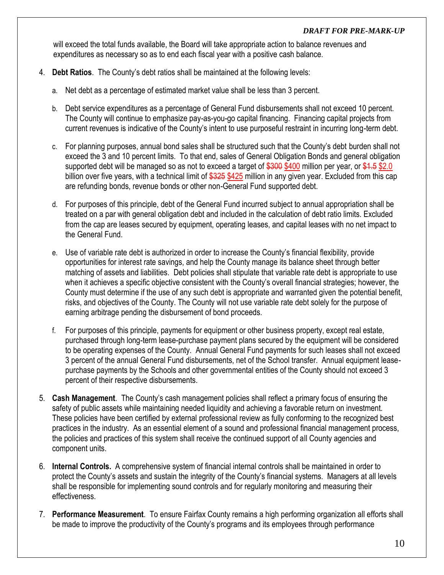will exceed the total funds available, the Board will take appropriate action to balance revenues and expenditures as necessary so as to end each fiscal year with a positive cash balance.

- 4. **Debt Ratios**. The County's debt ratios shall be maintained at the following levels:
	- a. Net debt as a percentage of estimated market value shall be less than 3 percent.
	- b. Debt service expenditures as a percentage of General Fund disbursements shall not exceed 10 percent. The County will continue to emphasize pay-as-you-go capital financing. Financing capital projects from current revenues is indicative of the County's intent to use purposeful restraint in incurring long-term debt.
	- c. For planning purposes, annual bond sales shall be structured such that the County's debt burden shall not exceed the 3 and 10 percent limits. To that end, sales of General Obligation Bonds and general obligation supported debt will be managed so as not to exceed a target of \$300 \$400 million per year, or \$4.5 \$2.0 billion over five years, with a technical limit of \$325 \$425 million in any given year. Excluded from this cap are refunding bonds, revenue bonds or other non-General Fund supported debt.
	- d. For purposes of this principle, debt of the General Fund incurred subject to annual appropriation shall be treated on a par with general obligation debt and included in the calculation of debt ratio limits. Excluded from the cap are leases secured by equipment, operating leases, and capital leases with no net impact to the General Fund.
	- e. Use of variable rate debt is authorized in order to increase the County's financial flexibility, provide opportunities for interest rate savings, and help the County manage its balance sheet through better matching of assets and liabilities. Debt policies shall stipulate that variable rate debt is appropriate to use when it achieves a specific objective consistent with the County's overall financial strategies; however, the County must determine if the use of any such debt is appropriate and warranted given the potential benefit, risks, and objectives of the County. The County will not use variable rate debt solely for the purpose of earning arbitrage pending the disbursement of bond proceeds.
	- f. For purposes of this principle, payments for equipment or other business property, except real estate, purchased through long-term lease-purchase payment plans secured by the equipment will be considered to be operating expenses of the County. Annual General Fund payments for such leases shall not exceed 3 percent of the annual General Fund disbursements, net of the School transfer. Annual equipment leasepurchase payments by the Schools and other governmental entities of the County should not exceed 3 percent of their respective disbursements.
- 5. **Cash Management**. The County's cash management policies shall reflect a primary focus of ensuring the safety of public assets while maintaining needed liquidity and achieving a favorable return on investment. These policies have been certified by external professional review as fully conforming to the recognized best practices in the industry. As an essential element of a sound and professional financial management process, the policies and practices of this system shall receive the continued support of all County agencies and component units.
- 6. **Internal Controls.** A comprehensive system of financial internal controls shall be maintained in order to protect the County's assets and sustain the integrity of the County's financial systems. Managers at all levels shall be responsible for implementing sound controls and for regularly monitoring and measuring their effectiveness.
- 7. **Performance Measurement**. To ensure Fairfax County remains a high performing organization all efforts shall be made to improve the productivity of the County's programs and its employees through performance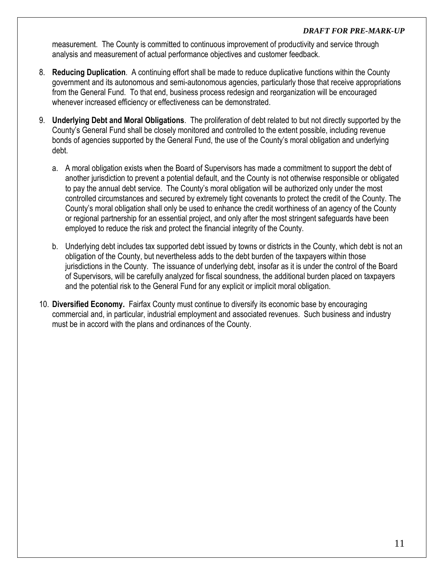measurement. The County is committed to continuous improvement of productivity and service through analysis and measurement of actual performance objectives and customer feedback.

- 8. **Reducing Duplication**. A continuing effort shall be made to reduce duplicative functions within the County government and its autonomous and semi-autonomous agencies, particularly those that receive appropriations from the General Fund. To that end, business process redesign and reorganization will be encouraged whenever increased efficiency or effectiveness can be demonstrated.
- 9. **Underlying Debt and Moral Obligations**. The proliferation of debt related to but not directly supported by the County's General Fund shall be closely monitored and controlled to the extent possible, including revenue bonds of agencies supported by the General Fund, the use of the County's moral obligation and underlying debt.
	- a. A moral obligation exists when the Board of Supervisors has made a commitment to support the debt of another jurisdiction to prevent a potential default, and the County is not otherwise responsible or obligated to pay the annual debt service. The County's moral obligation will be authorized only under the most controlled circumstances and secured by extremely tight covenants to protect the credit of the County. The County's moral obligation shall only be used to enhance the credit worthiness of an agency of the County or regional partnership for an essential project, and only after the most stringent safeguards have been employed to reduce the risk and protect the financial integrity of the County.
	- b. Underlying debt includes tax supported debt issued by towns or districts in the County, which debt is not an obligation of the County, but nevertheless adds to the debt burden of the taxpayers within those jurisdictions in the County. The issuance of underlying debt, insofar as it is under the control of the Board of Supervisors, will be carefully analyzed for fiscal soundness, the additional burden placed on taxpayers and the potential risk to the General Fund for any explicit or implicit moral obligation.
- 10. **Diversified Economy.** Fairfax County must continue to diversify its economic base by encouraging commercial and, in particular, industrial employment and associated revenues. Such business and industry must be in accord with the plans and ordinances of the County.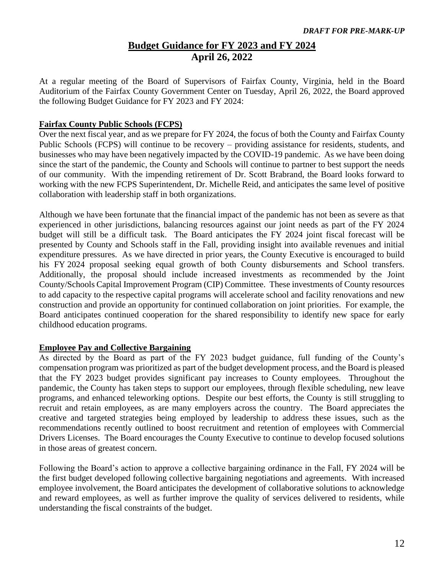### **Budget Guidance for FY 2023 and FY 2024 April 26, 2022**

<span id="page-11-0"></span>At a regular meeting of the Board of Supervisors of Fairfax County, Virginia, held in the Board Auditorium of the Fairfax County Government Center on Tuesday, April 26, 2022, the Board approved the following Budget Guidance for FY 2023 and FY 2024:

#### **Fairfax County Public Schools (FCPS)**

Over the next fiscal year, and as we prepare for FY 2024, the focus of both the County and Fairfax County Public Schools (FCPS) will continue to be recovery – providing assistance for residents, students, and businesses who may have been negatively impacted by the COVID-19 pandemic. As we have been doing since the start of the pandemic, the County and Schools will continue to partner to best support the needs of our community. With the impending retirement of Dr. Scott Brabrand, the Board looks forward to working with the new FCPS Superintendent, Dr. Michelle Reid, and anticipates the same level of positive collaboration with leadership staff in both organizations.

Although we have been fortunate that the financial impact of the pandemic has not been as severe as that experienced in other jurisdictions, balancing resources against our joint needs as part of the FY 2024 budget will still be a difficult task. The Board anticipates the FY 2024 joint fiscal forecast will be presented by County and Schools staff in the Fall, providing insight into available revenues and initial expenditure pressures. As we have directed in prior years, the County Executive is encouraged to build his FY 2024 proposal seeking equal growth of both County disbursements and School transfers. Additionally, the proposal should include increased investments as recommended by the Joint County/Schools Capital Improvement Program (CIP) Committee. These investments of County resources to add capacity to the respective capital programs will accelerate school and facility renovations and new construction and provide an opportunity for continued collaboration on joint priorities. For example, the Board anticipates continued cooperation for the shared responsibility to identify new space for early childhood education programs.

### **Employee Pay and Collective Bargaining**

As directed by the Board as part of the FY 2023 budget guidance, full funding of the County's compensation program was prioritized as part of the budget development process, and the Board is pleased that the FY 2023 budget provides significant pay increases to County employees. Throughout the pandemic, the County has taken steps to support our employees, through flexible scheduling, new leave programs, and enhanced teleworking options. Despite our best efforts, the County is still struggling to recruit and retain employees, as are many employers across the country. The Board appreciates the creative and targeted strategies being employed by leadership to address these issues, such as the recommendations recently outlined to boost recruitment and retention of employees with Commercial Drivers Licenses. The Board encourages the County Executive to continue to develop focused solutions in those areas of greatest concern.

Following the Board's action to approve a collective bargaining ordinance in the Fall, FY 2024 will be the first budget developed following collective bargaining negotiations and agreements. With increased employee involvement, the Board anticipates the development of collaborative solutions to acknowledge and reward employees, as well as further improve the quality of services delivered to residents, while understanding the fiscal constraints of the budget.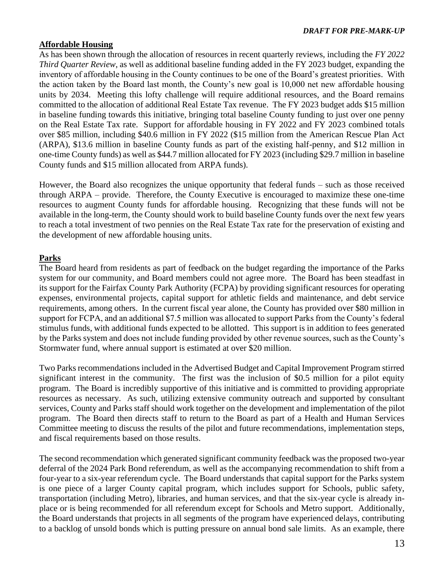### **Affordable Housing**

As has been shown through the allocation of resources in recent quarterly reviews, including the *FY 2022 Third Quarter Review*, as well as additional baseline funding added in the FY 2023 budget, expanding the inventory of affordable housing in the County continues to be one of the Board's greatest priorities. With the action taken by the Board last month, the County's new goal is 10,000 net new affordable housing units by 2034. Meeting this lofty challenge will require additional resources, and the Board remains committed to the allocation of additional Real Estate Tax revenue. The FY 2023 budget adds \$15 million in baseline funding towards this initiative, bringing total baseline County funding to just over one penny on the Real Estate Tax rate. Support for affordable housing in FY 2022 and FY 2023 combined totals over \$85 million, including \$40.6 million in FY 2022 (\$15 million from the American Rescue Plan Act (ARPA), \$13.6 million in baseline County funds as part of the existing half-penny, and \$12 million in one-time County funds) as well as \$44.7 million allocated for FY 2023 (including \$29.7 million in baseline County funds and \$15 million allocated from ARPA funds).

However, the Board also recognizes the unique opportunity that federal funds – such as those received through ARPA – provide. Therefore, the County Executive is encouraged to maximize these one-time resources to augment County funds for affordable housing. Recognizing that these funds will not be available in the long-term, the County should work to build baseline County funds over the next few years to reach a total investment of two pennies on the Real Estate Tax rate for the preservation of existing and the development of new affordable housing units.

### **Parks**

The Board heard from residents as part of feedback on the budget regarding the importance of the Parks system for our community, and Board members could not agree more. The Board has been steadfast in its support for the Fairfax County Park Authority (FCPA) by providing significant resources for operating expenses, environmental projects, capital support for athletic fields and maintenance, and debt service requirements, among others. In the current fiscal year alone, the County has provided over \$80 million in support for FCPA, and an additional \$7.5 million was allocated to support Parks from the County's federal stimulus funds, with additional funds expected to be allotted. This support is in addition to fees generated by the Parks system and does not include funding provided by other revenue sources, such as the County's Stormwater fund, where annual support is estimated at over \$20 million.

Two Parks recommendations included in the Advertised Budget and Capital Improvement Program stirred significant interest in the community. The first was the inclusion of \$0.5 million for a pilot equity program. The Board is incredibly supportive of this initiative and is committed to providing appropriate resources as necessary. As such, utilizing extensive community outreach and supported by consultant services, County and Parks staff should work together on the development and implementation of the pilot program. The Board then directs staff to return to the Board as part of a Health and Human Services Committee meeting to discuss the results of the pilot and future recommendations, implementation steps, and fiscal requirements based on those results.

The second recommendation which generated significant community feedback was the proposed two-year deferral of the 2024 Park Bond referendum, as well as the accompanying recommendation to shift from a four-year to a six-year referendum cycle. The Board understands that capital support for the Parks system is one piece of a larger County capital program, which includes support for Schools, public safety, transportation (including Metro), libraries, and human services, and that the six-year cycle is already inplace or is being recommended for all referendum except for Schools and Metro support. Additionally, the Board understands that projects in all segments of the program have experienced delays, contributing to a backlog of unsold bonds which is putting pressure on annual bond sale limits. As an example, there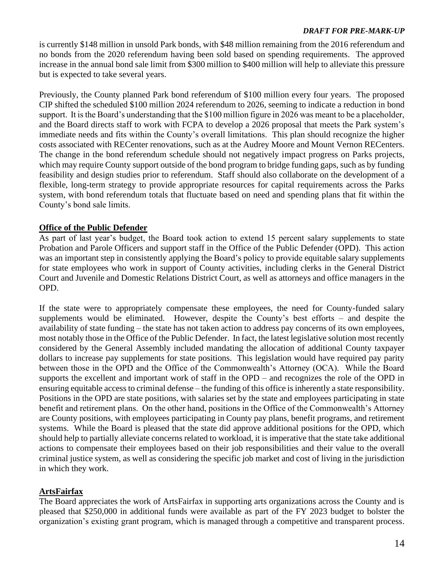is currently \$148 million in unsold Park bonds, with \$48 million remaining from the 2016 referendum and no bonds from the 2020 referendum having been sold based on spending requirements. The approved increase in the annual bond sale limit from \$300 million to \$400 million will help to alleviate this pressure but is expected to take several years.

Previously, the County planned Park bond referendum of \$100 million every four years. The proposed CIP shifted the scheduled \$100 million 2024 referendum to 2026, seeming to indicate a reduction in bond support. It is the Board's understanding that the \$100 million figure in 2026 was meant to be a placeholder, and the Board directs staff to work with FCPA to develop a 2026 proposal that meets the Park system's immediate needs and fits within the County's overall limitations. This plan should recognize the higher costs associated with RECenter renovations, such as at the Audrey Moore and Mount Vernon RECenters. The change in the bond referendum schedule should not negatively impact progress on Parks projects, which may require County support outside of the bond program to bridge funding gaps, such as by funding feasibility and design studies prior to referendum. Staff should also collaborate on the development of a flexible, long-term strategy to provide appropriate resources for capital requirements across the Parks system, with bond referendum totals that fluctuate based on need and spending plans that fit within the County's bond sale limits.

### **Office of the Public Defender**

As part of last year's budget, the Board took action to extend 15 percent salary supplements to state Probation and Parole Officers and support staff in the Office of the Public Defender (OPD). This action was an important step in consistently applying the Board's policy to provide equitable salary supplements for state employees who work in support of County activities, including clerks in the General District Court and Juvenile and Domestic Relations District Court, as well as attorneys and office managers in the OPD.

If the state were to appropriately compensate these employees, the need for County-funded salary supplements would be eliminated. However, despite the County's best efforts – and despite the availability of state funding – the state has not taken action to address pay concerns of its own employees, most notably those in the Office of the Public Defender. In fact, the latest legislative solution most recently considered by the General Assembly included mandating the allocation of additional County taxpayer dollars to increase pay supplements for state positions. This legislation would have required pay parity between those in the OPD and the Office of the Commonwealth's Attorney (OCA). While the Board supports the excellent and important work of staff in the OPD – and recognizes the role of the OPD in ensuring equitable accessto criminal defense – the funding of this office is inherently a state responsibility. Positions in the OPD are state positions, with salaries set by the state and employees participating in state benefit and retirement plans. On the other hand, positions in the Office of the Commonwealth's Attorney are County positions, with employees participating in County pay plans, benefit programs, and retirement systems. While the Board is pleased that the state did approve additional positions for the OPD, which should help to partially alleviate concerns related to workload, it is imperative that the state take additional actions to compensate their employees based on their job responsibilities and their value to the overall criminal justice system, as well as considering the specific job market and cost of living in the jurisdiction in which they work.

### **ArtsFairfax**

The Board appreciates the work of ArtsFairfax in supporting arts organizations across the County and is pleased that \$250,000 in additional funds were available as part of the FY 2023 budget to bolster the organization's existing grant program, which is managed through a competitive and transparent process.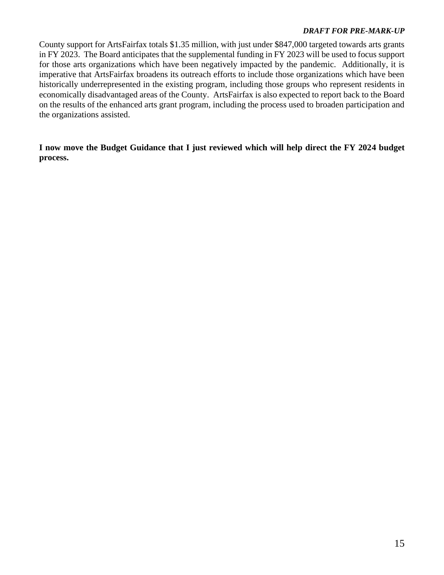County support for ArtsFairfax totals \$1.35 million, with just under \$847,000 targeted towards arts grants in FY 2023. The Board anticipates that the supplemental funding in FY 2023 will be used to focus support for those arts organizations which have been negatively impacted by the pandemic. Additionally, it is imperative that ArtsFairfax broadens its outreach efforts to include those organizations which have been historically underrepresented in the existing program, including those groups who represent residents in economically disadvantaged areas of the County. ArtsFairfax is also expected to report back to the Board on the results of the enhanced arts grant program, including the process used to broaden participation and the organizations assisted.

**I now move the Budget Guidance that I just reviewed which will help direct the FY 2024 budget process.**